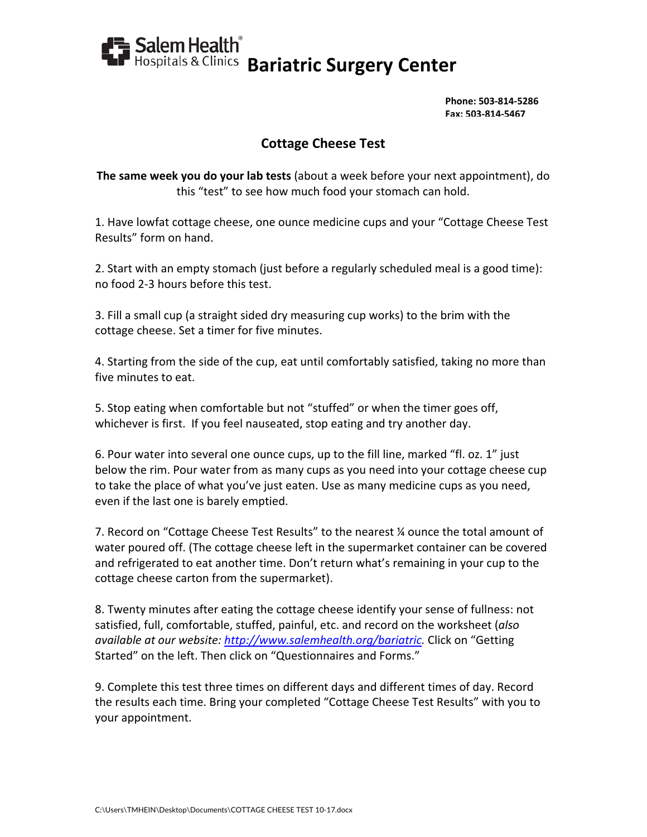

**Phone: 503‐814‐5286 Fax: 503‐814‐5467**

## **Cottage Cheese Test**

**The same week you do your lab tests** (about a week before your next appointment), do this "test" to see how much food your stomach can hold.

1. Have lowfat cottage cheese, one ounce medicine cups and your "Cottage Cheese Test Results" form on hand.

2. Start with an empty stomach (just before a regularly scheduled meal is a good time): no food 2‐3 hours before this test.

3. Fill a small cup (a straight sided dry measuring cup works) to the brim with the cottage cheese. Set a timer for five minutes.

4. Starting from the side of the cup, eat until comfortably satisfied, taking no more than five minutes to eat.

5. Stop eating when comfortable but not "stuffed" or when the timer goes off, whichever is first. If you feel nauseated, stop eating and try another day.

6. Pour water into several one ounce cups, up to the fill line, marked "fl. oz. 1" just below the rim. Pour water from as many cups as you need into your cottage cheese cup to take the place of what you've just eaten. Use as many medicine cups as you need, even if the last one is barely emptied.

7. Record on "Cottage Cheese Test Results" to the nearest ¼ ounce the total amount of water poured off. (The cottage cheese left in the supermarket container can be covered and refrigerated to eat another time. Don't return what's remaining in your cup to the cottage cheese carton from the supermarket).

8. Twenty minutes after eating the cottage cheese identify your sense of fullness: not satisfied, full, comfortable, stuffed, painful, etc. and record on the worksheet (*also available at our website: http://www.salemhealth.org/bariatric.* Click on "Getting Started" on the left. Then click on "Questionnaires and Forms."

9. Complete this test three times on different days and different times of day. Record the results each time. Bring your completed "Cottage Cheese Test Results" with you to your appointment.